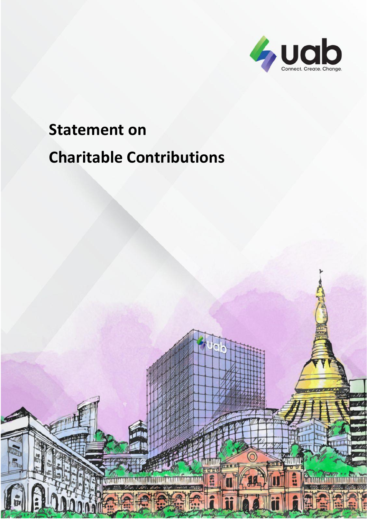

# **Statement on Charitable Contributions**

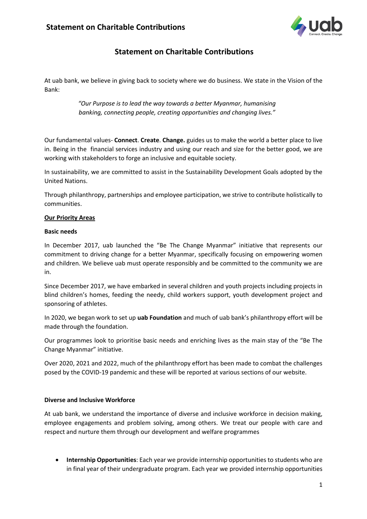

# **Statement on Charitable Contributions**

At uab bank, we believe in giving back to society where we do business. We state in the Vision of the Bank:

> *"Our Purpose is to lead the way towards a better Myanmar, humanising banking, connecting people, creating opportunities and changing lives."*

Our fundamental values- **Connect**. **Create**. **Change.** guides us to make the world a better place to live in. Being in the financial services industry and using our reach and size for the better good, we are working with stakeholders to forge an inclusive and equitable society.

In sustainability, we are committed to assist in the Sustainability Development Goals adopted by the United Nations.

Through philanthropy, partnerships and employee participation, we strive to contribute holistically to communities.

#### **Our Priority Areas**

#### **Basic needs**

In December 2017, uab launched the "Be The Change Myanmar" initiative that represents our commitment to driving change for a better Myanmar, specifically focusing on empowering women and children. We believe uab must operate responsibly and be committed to the community we are in.

Since December 2017, we have embarked in several children and youth projects including projects in blind children's homes, feeding the needy, child workers support, youth development project and sponsoring of athletes.

In 2020, we began work to set up **uab Foundation** and much of uab bank's philanthropy effort will be made through the foundation.

Our programmes look to prioritise basic needs and enriching lives as the main stay of the "Be The Change Myanmar" initiative.

Over 2020, 2021 and 2022, much of the philanthropy effort has been made to combat the challenges posed by the COVID-19 pandemic and these will be reported at various sections of our website.

#### **Diverse and Inclusive Workforce**

At uab bank, we understand the importance of diverse and inclusive workforce in decision making, employee engagements and problem solving, among others. We treat our people with care and respect and nurture them through our development and welfare programmes

• **Internship Opportunities**: Each year we provide internship opportunities to students who are in final year of their undergraduate program. Each year we provided internship opportunities